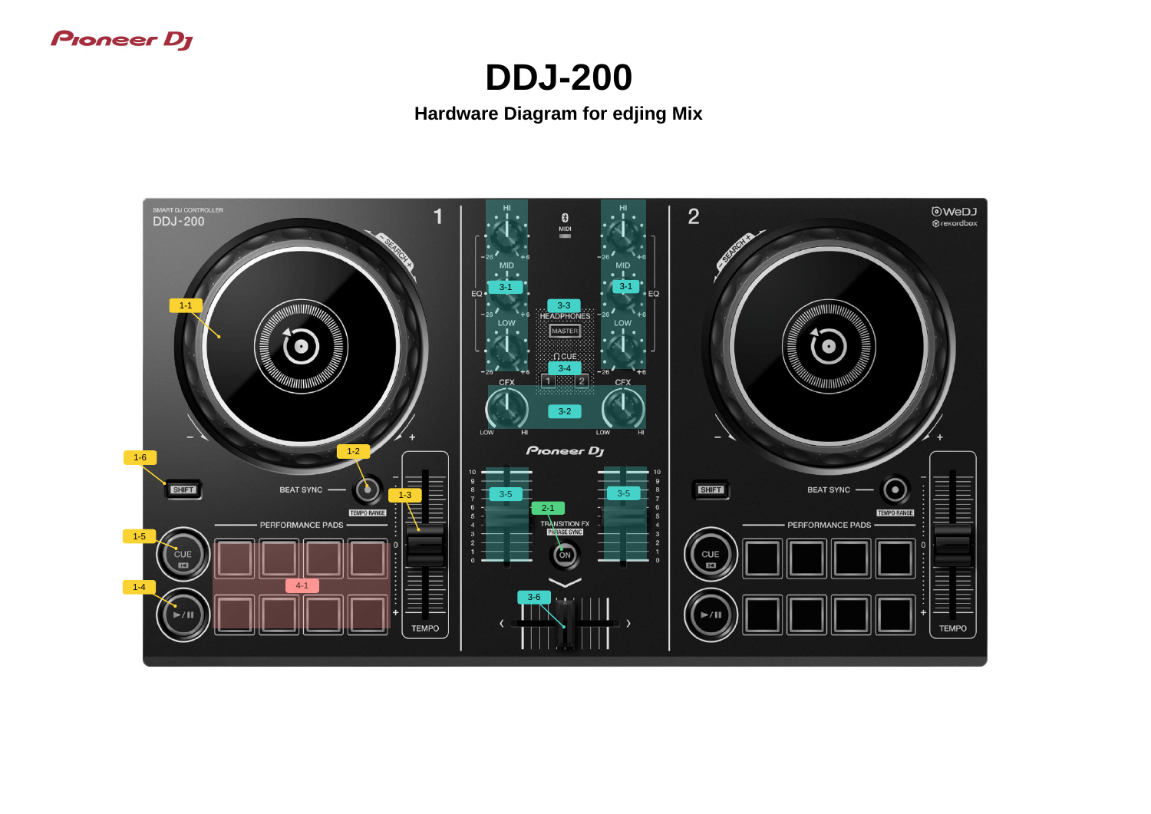## **Proneer Dy**

## **DDJ-200 Hardware Diagram for edjing Mix**